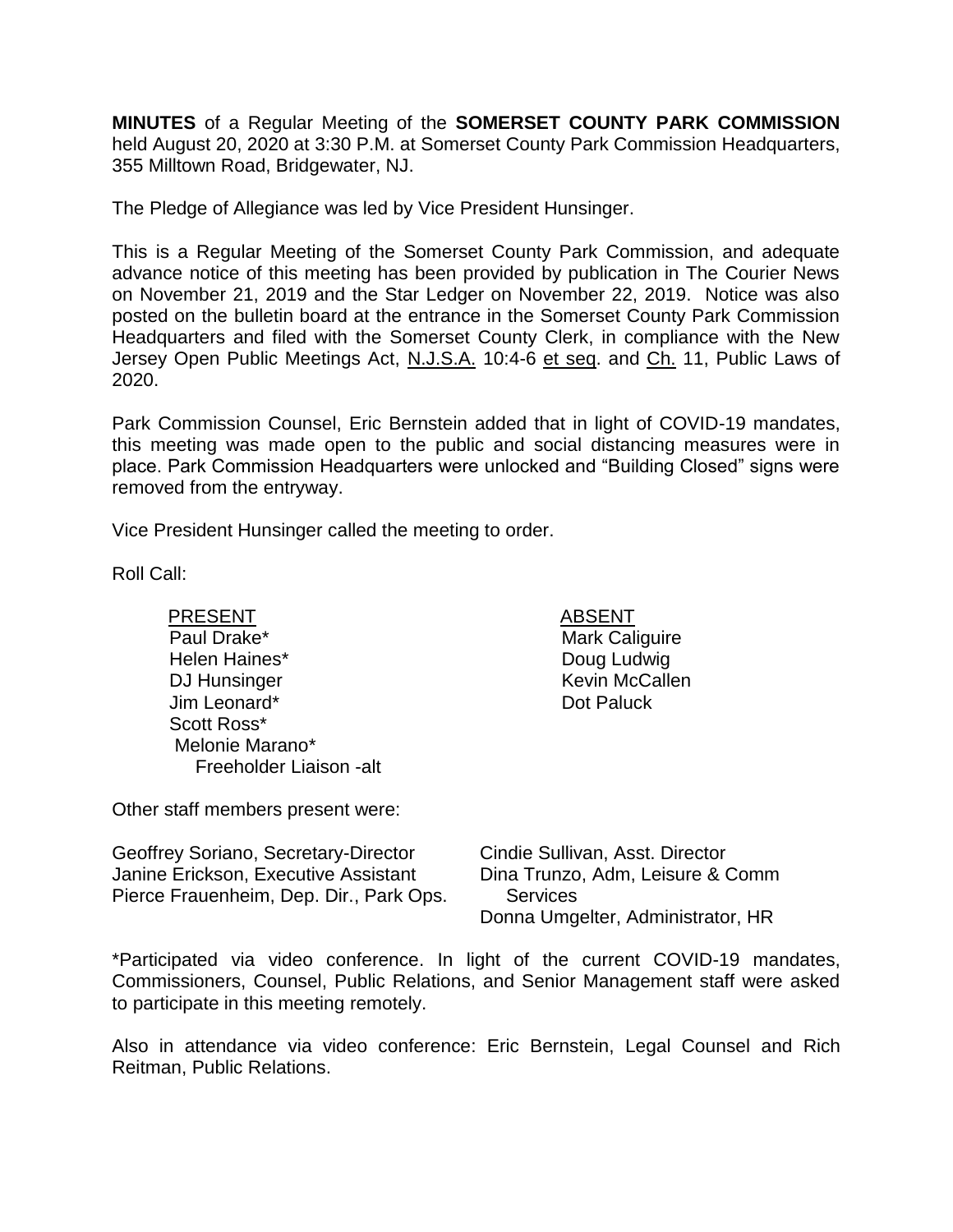**MINUTES** of a Regular Meeting of the **SOMERSET COUNTY PARK COMMISSION** held August 20, 2020 at 3:30 P.M. at Somerset County Park Commission Headquarters, 355 Milltown Road, Bridgewater, NJ.

The Pledge of Allegiance was led by Vice President Hunsinger.

This is a Regular Meeting of the Somerset County Park Commission, and adequate advance notice of this meeting has been provided by publication in The Courier News on November 21, 2019 and the Star Ledger on November 22, 2019. Notice was also posted on the bulletin board at the entrance in the Somerset County Park Commission Headquarters and filed with the Somerset County Clerk, in compliance with the New Jersey Open Public Meetings Act, N.J.S.A. 10:4-6 et seq. and Ch. 11, Public Laws of 2020.

Park Commission Counsel, Eric Bernstein added that in light of COVID-19 mandates, this meeting was made open to the public and social distancing measures were in place. Park Commission Headquarters were unlocked and "Building Closed" signs were removed from the entryway.

Vice President Hunsinger called the meeting to order.

Roll Call:

PRESENT ABSENT Paul Drake\* Helen Haines\* DJ Hunsinger Jim Leonard\* Scott Ross\* Melonie Marano\* Freeholder Liaison -alt

Mark Caliguire Doug Ludwig Kevin McCallen Dot Paluck

Other staff members present were:

| Geoffrey Soriano, Secretary-Director    |
|-----------------------------------------|
| Janine Erickson, Executive Assistant    |
| Pierce Frauenheim, Dep. Dir., Park Ops. |

Cindie Sullivan, Asst. Director Dina Trunzo, Adm, Leisure & Comm Services Donna Umgelter, Administrator, HR

\*Participated via video conference. In light of the current COVID-19 mandates, Commissioners, Counsel, Public Relations, and Senior Management staff were asked to participate in this meeting remotely.

Also in attendance via video conference: Eric Bernstein, Legal Counsel and Rich Reitman, Public Relations.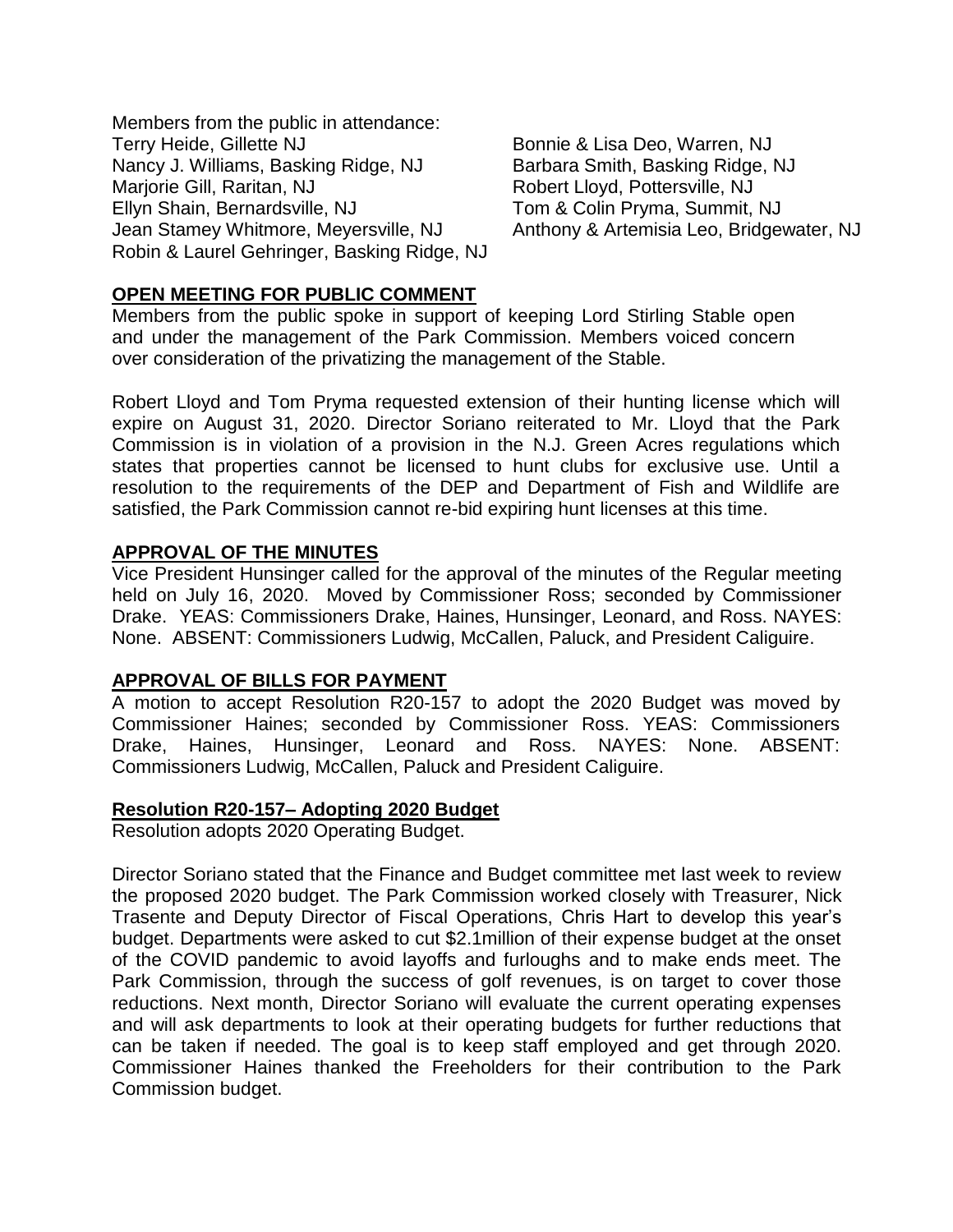Members from the public in attendance: Terry Heide, Gillette NJ **Bonnie & Lisa Deo, Warren, NJ** Nancy J. Williams, Basking Ridge, NJ Marjorie Gill, Raritan, NJ Ellyn Shain, Bernardsville, NJ Jean Stamey Whitmore, Meyersville, NJ Robin & Laurel Gehringer, Basking Ridge, NJ

Barbara Smith, Basking Ridge, NJ Robert Lloyd, Pottersville, NJ Tom & Colin Pryma, Summit, NJ Anthony & Artemisia Leo, Bridgewater, NJ

# **OPEN MEETING FOR PUBLIC COMMENT**

Members from the public spoke in support of keeping Lord Stirling Stable open and under the management of the Park Commission. Members voiced concern over consideration of the privatizing the management of the Stable.

Robert Lloyd and Tom Pryma requested extension of their hunting license which will expire on August 31, 2020. Director Soriano reiterated to Mr. Lloyd that the Park Commission is in violation of a provision in the N.J. Green Acres regulations which states that properties cannot be licensed to hunt clubs for exclusive use. Until a resolution to the requirements of the DEP and Department of Fish and Wildlife are satisfied, the Park Commission cannot re-bid expiring hunt licenses at this time.

### **APPROVAL OF THE MINUTES**

Vice President Hunsinger called for the approval of the minutes of the Regular meeting held on July 16, 2020. Moved by Commissioner Ross; seconded by Commissioner Drake. YEAS: Commissioners Drake, Haines, Hunsinger, Leonard, and Ross. NAYES: None. ABSENT: Commissioners Ludwig, McCallen, Paluck, and President Caliguire.

# **APPROVAL OF BILLS FOR PAYMENT**

A motion to accept Resolution R20-157 to adopt the 2020 Budget was moved by Commissioner Haines; seconded by Commissioner Ross. YEAS: Commissioners Drake, Haines, Hunsinger, Leonard and Ross. NAYES: None. ABSENT: Commissioners Ludwig, McCallen, Paluck and President Caliguire.

#### **Resolution R20-157– Adopting 2020 Budget**

Resolution adopts 2020 Operating Budget.

Director Soriano stated that the Finance and Budget committee met last week to review the proposed 2020 budget. The Park Commission worked closely with Treasurer, Nick Trasente and Deputy Director of Fiscal Operations, Chris Hart to develop this year's budget. Departments were asked to cut \$2.1million of their expense budget at the onset of the COVID pandemic to avoid layoffs and furloughs and to make ends meet. The Park Commission, through the success of golf revenues, is on target to cover those reductions. Next month, Director Soriano will evaluate the current operating expenses and will ask departments to look at their operating budgets for further reductions that can be taken if needed. The goal is to keep staff employed and get through 2020. Commissioner Haines thanked the Freeholders for their contribution to the Park Commission budget.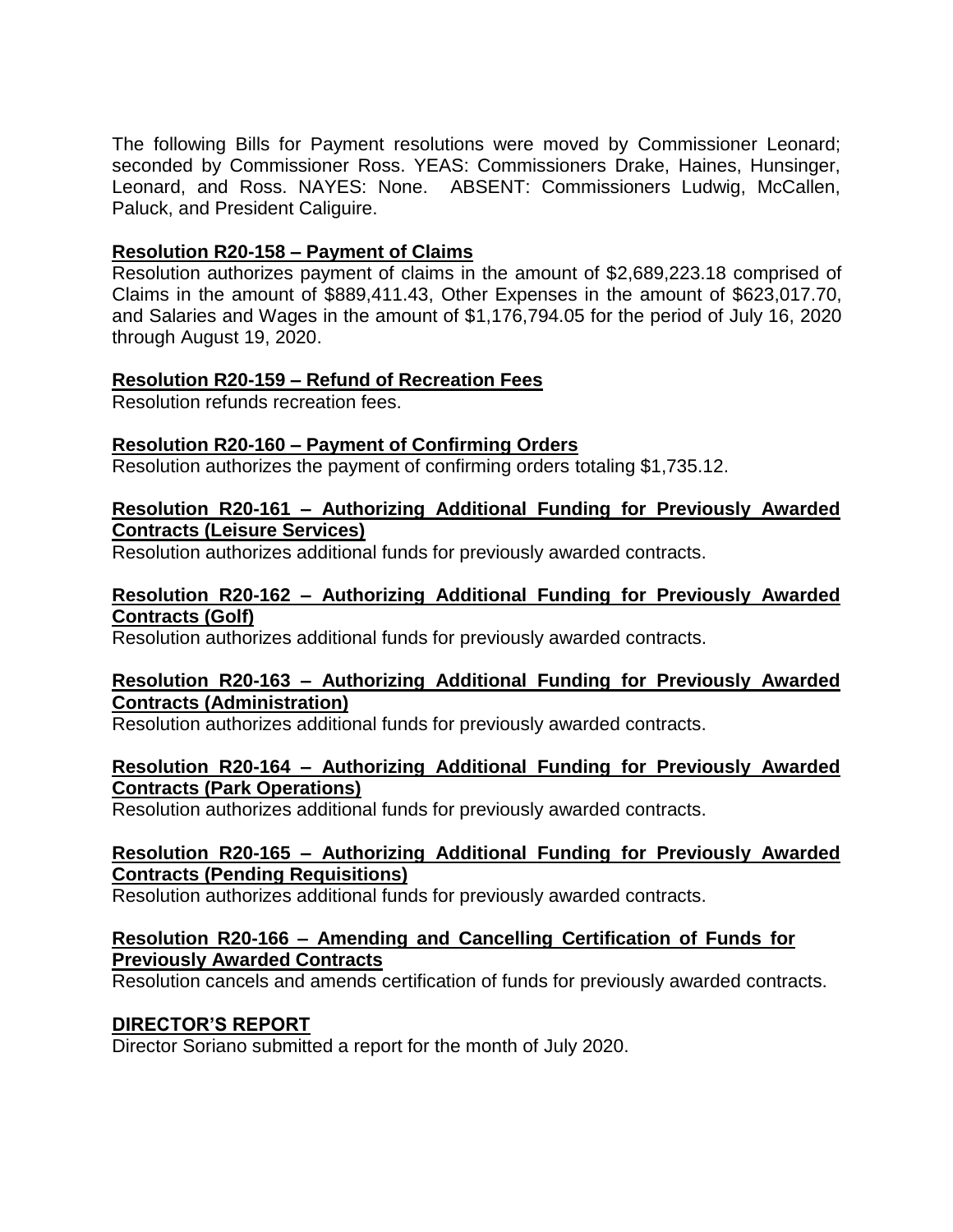The following Bills for Payment resolutions were moved by Commissioner Leonard; seconded by Commissioner Ross. YEAS: Commissioners Drake, Haines, Hunsinger, Leonard, and Ross. NAYES: None. ABSENT: Commissioners Ludwig, McCallen, Paluck, and President Caliguire.

# **Resolution R20-158 – Payment of Claims**

Resolution authorizes payment of claims in the amount of \$2,689,223.18 comprised of Claims in the amount of \$889,411.43, Other Expenses in the amount of \$623,017.70, and Salaries and Wages in the amount of \$1,176,794.05 for the period of July 16, 2020 through August 19, 2020.

# **Resolution R20-159 – Refund of Recreation Fees**

Resolution refunds recreation fees.

# **Resolution R20-160 – Payment of Confirming Orders**

Resolution authorizes the payment of confirming orders totaling \$1,735.12.

# **Resolution R20-161 – Authorizing Additional Funding for Previously Awarded Contracts (Leisure Services)**

Resolution authorizes additional funds for previously awarded contracts.

# **Resolution R20-162 – Authorizing Additional Funding for Previously Awarded Contracts (Golf)**

Resolution authorizes additional funds for previously awarded contracts.

# **Resolution R20-163 – Authorizing Additional Funding for Previously Awarded Contracts (Administration)**

Resolution authorizes additional funds for previously awarded contracts.

# **Resolution R20-164 – Authorizing Additional Funding for Previously Awarded Contracts (Park Operations)**

Resolution authorizes additional funds for previously awarded contracts.

# **Resolution R20-165 – Authorizing Additional Funding for Previously Awarded Contracts (Pending Requisitions)**

Resolution authorizes additional funds for previously awarded contracts.

# **Resolution R20-166 – Amending and Cancelling Certification of Funds for Previously Awarded Contracts**

Resolution cancels and amends certification of funds for previously awarded contracts.

# **DIRECTOR'S REPORT**

Director Soriano submitted a report for the month of July 2020.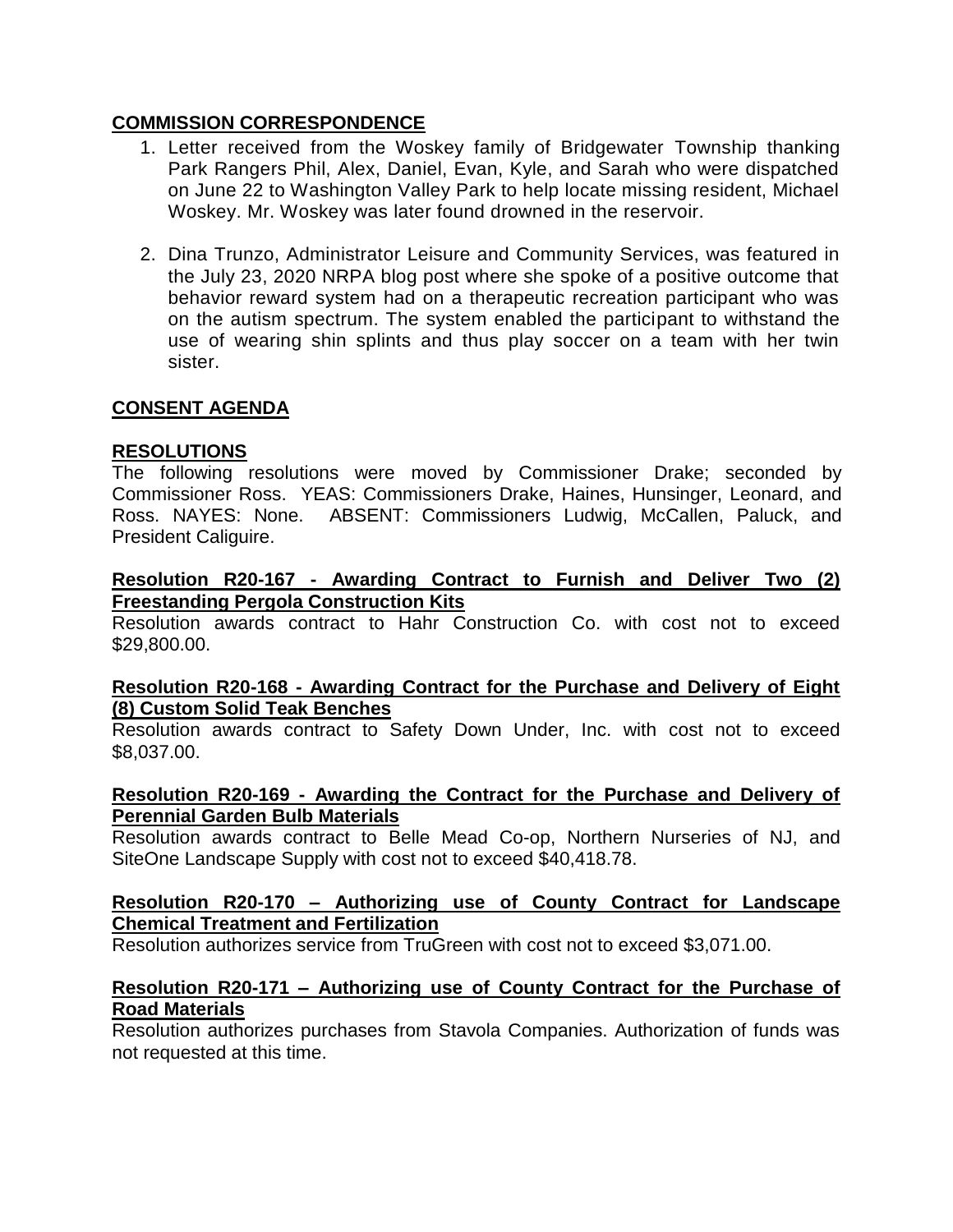# **COMMISSION CORRESPONDENCE**

- 1. Letter received from the Woskey family of Bridgewater Township thanking Park Rangers Phil, Alex, Daniel, Evan, Kyle, and Sarah who were dispatched on June 22 to Washington Valley Park to help locate missing resident, Michael Woskey. Mr. Woskey was later found drowned in the reservoir.
- 2. Dina Trunzo, Administrator Leisure and Community Services, was featured in the July 23, 2020 NRPA blog post where she spoke of a positive outcome that behavior reward system had on a therapeutic recreation participant who was on the autism spectrum. The system enabled the participant to withstand the use of wearing shin splints and thus play soccer on a team with her twin sister.

# **CONSENT AGENDA**

# **RESOLUTIONS**

The following resolutions were moved by Commissioner Drake; seconded by Commissioner Ross. YEAS: Commissioners Drake, Haines, Hunsinger, Leonard, and Ross. NAYES: None. ABSENT: Commissioners Ludwig, McCallen, Paluck, and President Caliguire.

## **Resolution R20-167 - Awarding Contract to Furnish and Deliver Two (2) Freestanding Pergola Construction Kits**

Resolution awards contract to Hahr Construction Co. with cost not to exceed \$29,800.00.

# **Resolution R20-168 - Awarding Contract for the Purchase and Delivery of Eight (8) Custom Solid Teak Benches**

Resolution awards contract to Safety Down Under, Inc. with cost not to exceed \$8,037.00.

### **Resolution R20-169 - Awarding the Contract for the Purchase and Delivery of Perennial Garden Bulb Materials**

Resolution awards contract to Belle Mead Co-op, Northern Nurseries of NJ, and SiteOne Landscape Supply with cost not to exceed \$40,418.78.

# **Resolution R20-170 – Authorizing use of County Contract for Landscape Chemical Treatment and Fertilization**

Resolution authorizes service from TruGreen with cost not to exceed \$3,071.00.

### **Resolution R20-171 – Authorizing use of County Contract for the Purchase of Road Materials**

Resolution authorizes purchases from Stavola Companies. Authorization of funds was not requested at this time.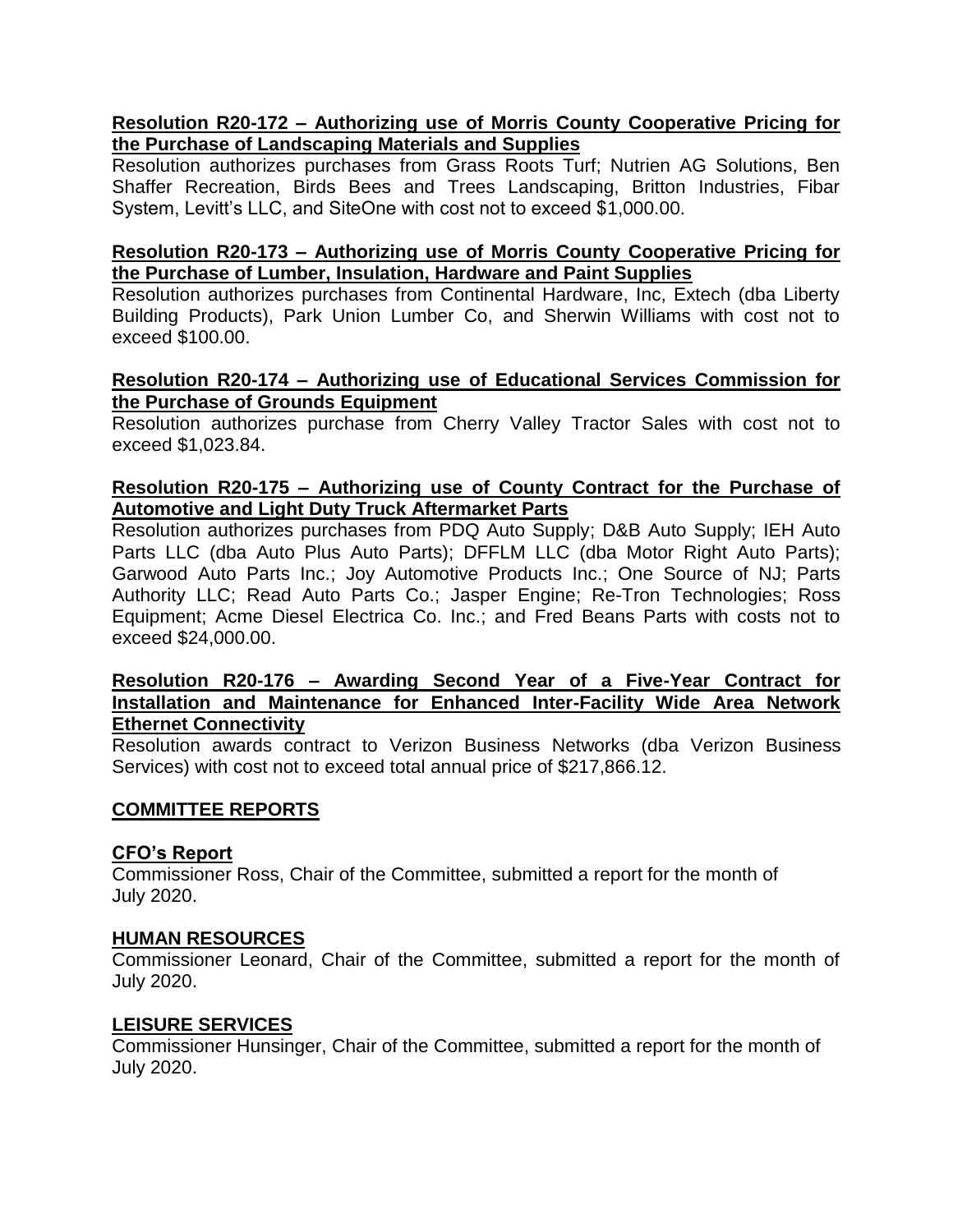# **Resolution R20-172 – Authorizing use of Morris County Cooperative Pricing for the Purchase of Landscaping Materials and Supplies**

Resolution authorizes purchases from Grass Roots Turf; Nutrien AG Solutions, Ben Shaffer Recreation, Birds Bees and Trees Landscaping, Britton Industries, Fibar System, Levitt's LLC, and SiteOne with cost not to exceed \$1,000.00.

# **Resolution R20-173 – Authorizing use of Morris County Cooperative Pricing for the Purchase of Lumber, Insulation, Hardware and Paint Supplies**

Resolution authorizes purchases from Continental Hardware, Inc, Extech (dba Liberty Building Products), Park Union Lumber Co, and Sherwin Williams with cost not to exceed \$100.00.

## **Resolution R20-174 – Authorizing use of Educational Services Commission for the Purchase of Grounds Equipment**

Resolution authorizes purchase from Cherry Valley Tractor Sales with cost not to exceed \$1,023.84.

# **Resolution R20-175 – Authorizing use of County Contract for the Purchase of Automotive and Light Duty Truck Aftermarket Parts**

Resolution authorizes purchases from PDQ Auto Supply; D&B Auto Supply; IEH Auto Parts LLC (dba Auto Plus Auto Parts); DFFLM LLC (dba Motor Right Auto Parts); Garwood Auto Parts Inc.; Joy Automotive Products Inc.; One Source of NJ; Parts Authority LLC; Read Auto Parts Co.; Jasper Engine; Re-Tron Technologies; Ross Equipment; Acme Diesel Electrica Co. Inc.; and Fred Beans Parts with costs not to exceed \$24,000.00.

## **Resolution R20-176 – Awarding Second Year of a Five-Year Contract for Installation and Maintenance for Enhanced Inter-Facility Wide Area Network Ethernet Connectivity**

Resolution awards contract to Verizon Business Networks (dba Verizon Business Services) with cost not to exceed total annual price of \$217,866.12.

# **COMMITTEE REPORTS**

# **CFO's Report**

Commissioner Ross, Chair of the Committee, submitted a report for the month of July 2020.

#### **HUMAN RESOURCES**

Commissioner Leonard, Chair of the Committee, submitted a report for the month of July 2020.

#### **LEISURE SERVICES**

Commissioner Hunsinger, Chair of the Committee, submitted a report for the month of July 2020.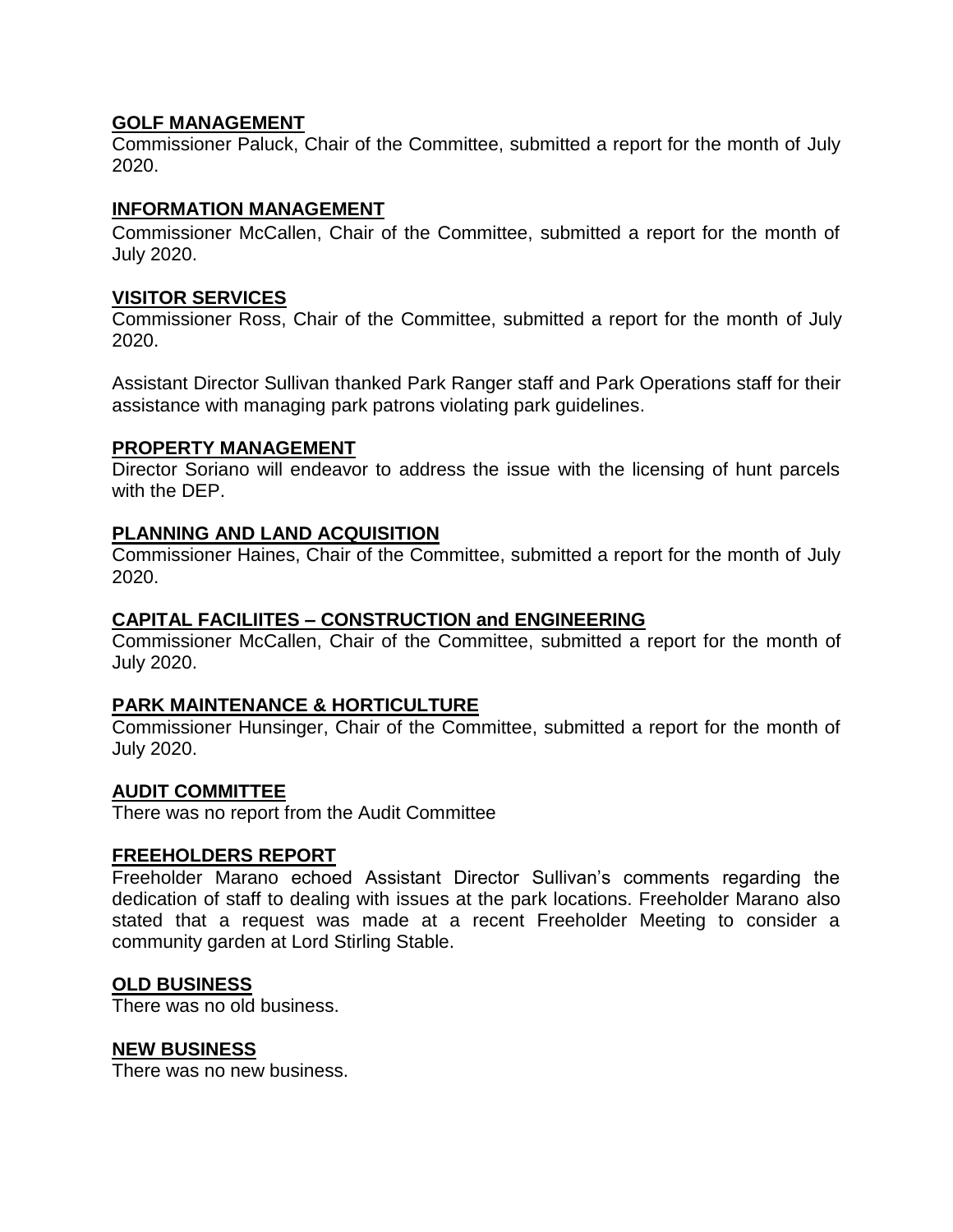# **GOLF MANAGEMENT**

Commissioner Paluck, Chair of the Committee, submitted a report for the month of July 2020.

# **INFORMATION MANAGEMENT**

Commissioner McCallen, Chair of the Committee, submitted a report for the month of July 2020.

# **VISITOR SERVICES**

Commissioner Ross, Chair of the Committee, submitted a report for the month of July 2020.

Assistant Director Sullivan thanked Park Ranger staff and Park Operations staff for their assistance with managing park patrons violating park guidelines.

# **PROPERTY MANAGEMENT**

Director Soriano will endeavor to address the issue with the licensing of hunt parcels with the DEP.

# **PLANNING AND LAND ACQUISITION**

Commissioner Haines, Chair of the Committee, submitted a report for the month of July 2020.

# **CAPITAL FACILIITES – CONSTRUCTION and ENGINEERING**

Commissioner McCallen, Chair of the Committee, submitted a report for the month of July 2020.

# **PARK MAINTENANCE & HORTICULTURE**

Commissioner Hunsinger, Chair of the Committee, submitted a report for the month of July 2020.

# **AUDIT COMMITTEE**

There was no report from the Audit Committee

# **FREEHOLDERS REPORT**

Freeholder Marano echoed Assistant Director Sullivan's comments regarding the dedication of staff to dealing with issues at the park locations. Freeholder Marano also stated that a request was made at a recent Freeholder Meeting to consider a community garden at Lord Stirling Stable.

# **OLD BUSINESS**

There was no old business.

#### **NEW BUSINESS**

There was no new business.